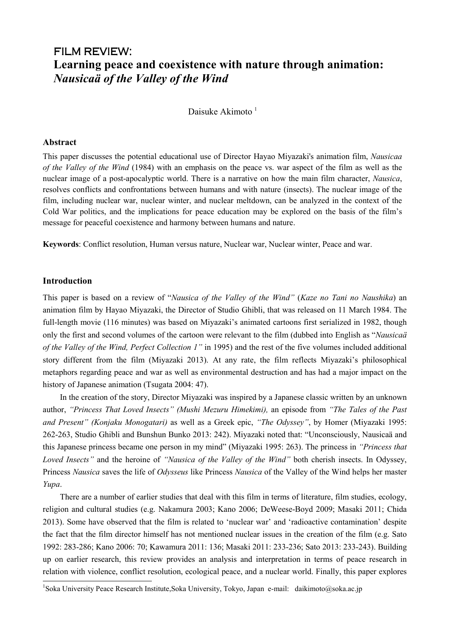# FILM REVIEW: **Learning peace and coexistence with nature through animation:**  *Nausicaä of the Valley of the Wind*

Daisuke Akimoto $<sup>1</sup>$ </sup>

# **Abstract**

This paper discusses the potential educational use of Director Hayao Miyazaki's animation film, *Nausicaa of the Valley of the Wind* (1984) with an emphasis on the peace vs. war aspect of the film as well as the nuclear image of a post-apocalyptic world. There is a narrative on how the main film character, *Nausica*, resolves conflicts and confrontations between humans and with nature (insects). The nuclear image of the film, including nuclear war, nuclear winter, and nuclear meltdown, can be analyzed in the context of the Cold War politics, and the implications for peace education may be explored on the basis of the film's message for peaceful coexistence and harmony between humans and nature.

**Keywords**: Conflict resolution, Human versus nature, Nuclear war, Nuclear winter, Peace and war.

# **Introduction**

 $\overline{a}$ 

This paper is based on a review of "*Nausica of the Valley of the Wind"* (*Kaze no Tani no Naushika*) an animation film by Hayao Miyazaki, the Director of Studio Ghibli, that was released on 11 March 1984. The full-length movie (116 minutes) was based on Miyazaki's animated cartoons first serialized in 1982, though only the first and second volumes of the cartoon were relevant to the film (dubbed into English as "*Nausicaä of the Valley of the Wind, Perfect Collection 1"* in 1995) and the rest of the five volumes included additional story different from the film (Miyazaki 2013). At any rate, the film reflects Miyazaki's philosophical metaphors regarding peace and war as well as environmental destruction and has had a major impact on the history of Japanese animation (Tsugata 2004: 47).

In the creation of the story, Director Miyazaki was inspired by a Japanese classic written by an unknown author, *"Princess That Loved Insects" (Mushi Mezuru Himekimi),* an episode from *"The Tales of the Past and Present" (Konjaku Monogatari)* as well as a Greek epic, *"The Odyssey"*, by Homer (Miyazaki 1995: 262-263, Studio Ghibli and Bunshun Bunko 2013: 242). Miyazaki noted that: "Unconsciously, Nausicaä and this Japanese princess became one person in my mind" (Miyazaki 1995: 263). The princess in *"Princess that Loved Insects"* and the heroine of *"Nausica of the Valley of the Wind"* both cherish insects. In Odyssey, Princess *Nausica* saves the life of *Odysseus* like Princess *Nausica* of the Valley of the Wind helps her master *Yupa*.

There are a number of earlier studies that deal with this film in terms of literature, film studies, ecology, religion and cultural studies (e.g. Nakamura 2003; Kano 2006; DeWeese-Boyd 2009; Masaki 2011; Chida 2013). Some have observed that the film is related to 'nuclear war' and 'radioactive contamination' despite the fact that the film director himself has not mentioned nuclear issues in the creation of the film (e.g. Sato 1992: 283-286; Kano 2006: 70; Kawamura 2011: 136; Masaki 2011: 233-236; Sato 2013: 233-243). Building up on earlier research, this review provides an analysis and interpretation in terms of peace research in relation with violence, conflict resolution, ecological peace, and a nuclear world. Finally, this paper explores

<sup>&</sup>lt;sup>1</sup>Soka University Peace Research Institute, Soka University, Tokyo, Japan e-mail: daikimoto@soka.ac.jp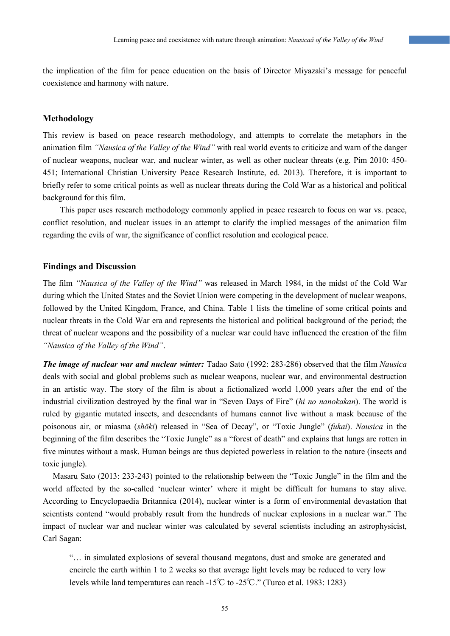the implication of the film for peace education on the basis of Director Miyazaki's message for peaceful coexistence and harmony with nature.

#### **Methodology**

This review is based on peace research methodology, and attempts to correlate the metaphors in the animation film *"Nausica of the Valley of the Wind"* with real world events to criticize and warn of the danger of nuclear weapons, nuclear war, and nuclear winter, as well as other nuclear threats (e.g. Pim 2010: 450- 451; International Christian University Peace Research Institute, ed. 2013). Therefore, it is important to briefly refer to some critical points as well as nuclear threats during the Cold War as a historical and political background for this film.

This paper uses research methodology commonly applied in peace research to focus on war vs. peace, conflict resolution, and nuclear issues in an attempt to clarify the implied messages of the animation film regarding the evils of war, the significance of conflict resolution and ecological peace.

#### **Findings and Discussion**

The film *"Nausica of the Valley of the Wind"* was released in March 1984, in the midst of the Cold War during which the United States and the Soviet Union were competing in the development of nuclear weapons, followed by the United Kingdom, France, and China. Table 1 lists the timeline of some critical points and nuclear threats in the Cold War era and represents the historical and political background of the period; the threat of nuclear weapons and the possibility of a nuclear war could have influenced the creation of the film *"Nausica of the Valley of the Wind"*.

*The image of nuclear war and nuclear winter:* Tadao Sato (1992: 283-286) observed that the film *Nausica* deals with social and global problems such as nuclear weapons, nuclear war, and environmental destruction in an artistic way. The story of the film is about a fictionalized world 1,000 years after the end of the industrial civilization destroyed by the final war in "Seven Days of Fire" (*hi no nanokakan*). The world is ruled by gigantic mutated insects, and descendants of humans cannot live without a mask because of the poisonous air, or miasma (*shōki*) released in "Sea of Decay", or "Toxic Jungle" (*fukai*). *Nausica* in the beginning of the film describes the "Toxic Jungle" as a "forest of death" and explains that lungs are rotten in five minutes without a mask. Human beings are thus depicted powerless in relation to the nature (insects and toxic jungle).

Masaru Sato (2013: 233-243) pointed to the relationship between the "Toxic Jungle" in the film and the world affected by the so-called 'nuclear winter' where it might be difficult for humans to stay alive. According to Encyclopaedia Britannica (2014), nuclear winter is a form of environmental devastation that scientists contend "would probably result from the hundreds of nuclear explosions in a nuclear war." The impact of nuclear war and nuclear winter was calculated by several scientists including an astrophysicist, Carl Sagan:

"… in simulated explosions of several thousand megatons, dust and smoke are generated and encircle the earth within 1 to 2 weeks so that average light levels may be reduced to very low levels while land temperatures can reach -15℃ to -25℃." (Turco et al. 1983: 1283)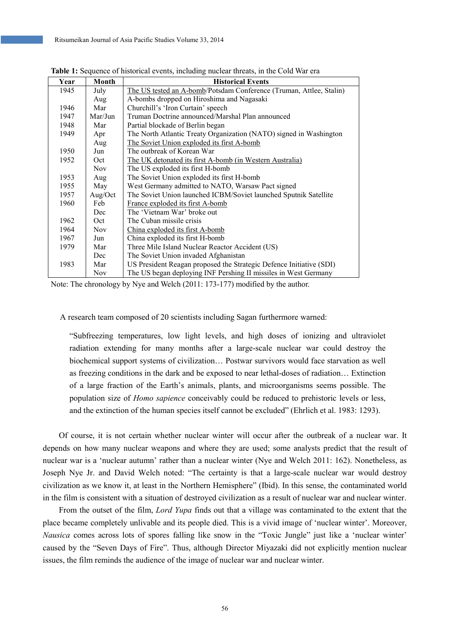| Year | Month      | <b>Historical Events</b>                                            |
|------|------------|---------------------------------------------------------------------|
| 1945 | July       | The US tested an A-bomb/Potsdam Conference (Truman, Attlee, Stalin) |
|      | Aug        | A-bombs dropped on Hiroshima and Nagasaki                           |
| 1946 | Mar        | Churchill's 'Iron Curtain' speech                                   |
| 1947 | Mar/Jun    | Truman Doctrine announced/Marshal Plan announced                    |
| 1948 | Mar        | Partial blockade of Berlin began                                    |
| 1949 | Apr        | The North Atlantic Treaty Organization (NATO) signed in Washington  |
|      | Aug        | The Soviet Union exploded its first A-bomb                          |
| 1950 | Jun        | The outbreak of Korean War                                          |
| 1952 | Oct        | The UK detonated its first A-bomb (in Western Australia)            |
|      | Nov.       | The US exploded its first H-bomb                                    |
| 1953 | Aug        | The Soviet Union exploded its first H-bomb                          |
| 1955 | May        | West Germany admitted to NATO, Warsaw Pact signed                   |
| 1957 | Aug/Oct    | The Soviet Union launched ICBM/Soviet launched Sputnik Satellite    |
| 1960 | Feb        | France exploded its first A-bomb                                    |
|      | Dec        | The 'Vietnam War' broke out                                         |
| 1962 | Oct        | The Cuban missile crisis                                            |
| 1964 | <b>Nov</b> | China exploded its first A-bomb                                     |
| 1967 | Jun        | China exploded its first H-bomb                                     |
| 1979 | Mar        | Three Mile Island Nuclear Reactor Accident (US)                     |
|      | Dec        | The Soviet Union invaded Afghanistan                                |
| 1983 | Mar        | US President Reagan proposed the Strategic Defence Initiative (SDI) |
|      | <b>Nov</b> | The US began deploying INF Pershing II missiles in West Germany     |

**Table 1:** Sequence of historical events, including nuclear threats, in the Cold War era

Note: The chronology by Nye and Welch (2011: 173-177) modified by the author.

A research team composed of 20 scientists including Sagan furthermore warned:

"Subfreezing temperatures, low light levels, and high doses of ionizing and ultraviolet radiation extending for many months after a large-scale nuclear war could destroy the biochemical support systems of civilization… Postwar survivors would face starvation as well as freezing conditions in the dark and be exposed to near lethal-doses of radiation… Extinction of a large fraction of the Earth's animals, plants, and microorganisms seems possible. The population size of *Homo sapience* conceivably could be reduced to prehistoric levels or less, and the extinction of the human species itself cannot be excluded" (Ehrlich et al. 1983: 1293).

Of course, it is not certain whether nuclear winter will occur after the outbreak of a nuclear war. It depends on how many nuclear weapons and where they are used; some analysts predict that the result of nuclear war is a 'nuclear autumn' rather than a nuclear winter (Nye and Welch 2011: 162). Nonetheless, as Joseph Nye Jr. and David Welch noted: "The certainty is that a large-scale nuclear war would destroy civilization as we know it, at least in the Northern Hemisphere" (Ibid). In this sense, the contaminated world in the film is consistent with a situation of destroyed civilization as a result of nuclear war and nuclear winter.

From the outset of the film, *Lord Yupa* finds out that a village was contaminated to the extent that the place became completely unlivable and its people died. This is a vivid image of 'nuclear winter'. Moreover, *Nausica* comes across lots of spores falling like snow in the "Toxic Jungle" just like a 'nuclear winter' caused by the "Seven Days of Fire". Thus, although Director Miyazaki did not explicitly mention nuclear issues, the film reminds the audience of the image of nuclear war and nuclear winter.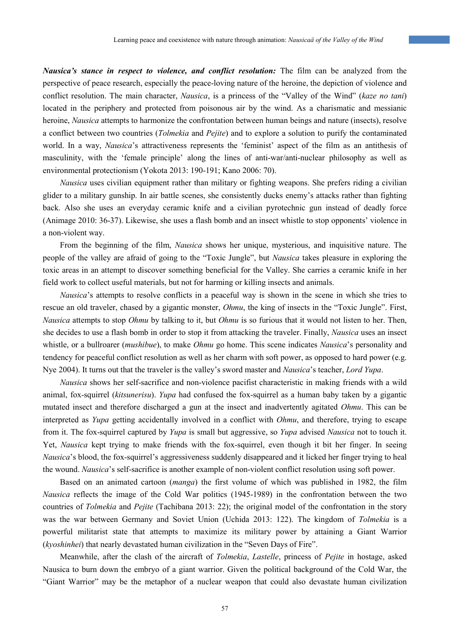*Nausica's stance in respect to violence, and conflict resolution:* The film can be analyzed from the perspective of peace research, especially the peace-loving nature of the heroine, the depiction of violence and conflict resolution. The main character, *Nausica*, is a princess of the "Valley of the Wind" (*kaze no tani*) located in the periphery and protected from poisonous air by the wind. As a charismatic and messianic heroine, *Nausica* attempts to harmonize the confrontation between human beings and nature (insects), resolve a conflict between two countries (*Tolmekia* and *Pejite*) and to explore a solution to purify the contaminated world. In a way, *Nausica*'s attractiveness represents the 'feminist' aspect of the film as an antithesis of masculinity, with the 'female principle' along the lines of anti-war/anti-nuclear philosophy as well as environmental protectionism (Yokota 2013: 190-191; Kano 2006: 70).

*Nausica* uses civilian equipment rather than military or fighting weapons. She prefers riding a civilian glider to a military gunship. In air battle scenes, she consistently ducks enemy's attacks rather than fighting back. Also she uses an everyday ceramic knife and a civilian pyrotechnic gun instead of deadly force (Animage 2010: 36-37). Likewise, she uses a flash bomb and an insect whistle to stop opponents' violence in a non-violent way.

From the beginning of the film, *Nausica* shows her unique, mysterious, and inquisitive nature. The people of the valley are afraid of going to the "Toxic Jungle", but *Nausica* takes pleasure in exploring the toxic areas in an attempt to discover something beneficial for the Valley. She carries a ceramic knife in her field work to collect useful materials, but not for harming or killing insects and animals.

*Nausica*'s attempts to resolve conflicts in a peaceful way is shown in the scene in which she tries to rescue an old traveler, chased by a gigantic monster, *Ohmu*, the king of insects in the "Toxic Jungle". First, *Nausica* attempts to stop *Ohmu* by talking to it, but *Ohmu* is so furious that it would not listen to her. Then, she decides to use a flash bomb in order to stop it from attacking the traveler. Finally, *Nausica* uses an insect whistle, or a bullroarer (*mushibue*), to make *Ohmu* go home. This scene indicates *Nausica*'s personality and tendency for peaceful conflict resolution as well as her charm with soft power, as opposed to hard power (e.g. Nye 2004). It turns out that the traveler is the valley's sword master and *Nausica*'s teacher, *Lord Yupa*.

*Nausica* shows her self-sacrifice and non-violence pacifist characteristic in making friends with a wild animal, fox-squirrel (*kitsunerisu*). *Yupa* had confused the fox-squirrel as a human baby taken by a gigantic mutated insect and therefore discharged a gun at the insect and inadvertently agitated *Ohmu*. This can be interpreted as *Yupa* getting accidentally involved in a conflict with *Ohmu*, and therefore, trying to escape from it. The fox-squirrel captured by *Yupa* is small but aggressive, so *Yupa* advised *Nausica* not to touch it. Yet, *Nausica* kept trying to make friends with the fox-squirrel, even though it bit her finger. In seeing *Nausica*'s blood, the fox-squirrel's aggressiveness suddenly disappeared and it licked her finger trying to heal the wound. *Nausica*'s self-sacrifice is another example of non-violent conflict resolution using soft power.

Based on an animated cartoon (*manga*) the first volume of which was published in 1982, the film *Nausica* reflects the image of the Cold War politics (1945-1989) in the confrontation between the two countries of *Tolmekia* and *Pejite* (Tachibana 2013: 22); the original model of the confrontation in the story was the war between Germany and Soviet Union (Uchida 2013: 122). The kingdom of *Tolmekia* is a powerful militarist state that attempts to maximize its military power by attaining a Giant Warrior (*kyoshinhei*) that nearly devastated human civilization in the "Seven Days of Fire".

Meanwhile, after the clash of the aircraft of *Tolmekia*, *Lastelle*, princess of *Pejite* in hostage, asked Nausica to burn down the embryo of a giant warrior. Given the political background of the Cold War, the "Giant Warrior" may be the metaphor of a nuclear weapon that could also devastate human civilization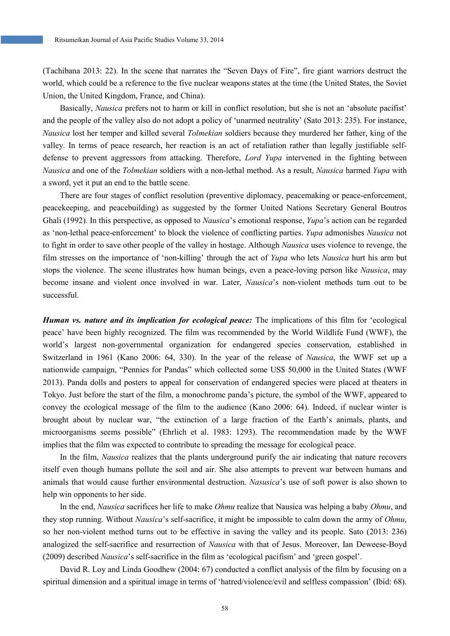(Tachibana 2013: 22). In the scene that narrates the "Seven Days of Fire", fire giant warriors destruct the world, which could be a reference to the five nuclear weapons states at the time (the United States, the Soviet Union, the United Kingdom, France, and China).

Basically, *Nausica* prefers not to harm or kill in conflict resolution, but she is not an 'absolute pacifist' and the people of the valley also do not adopt a policy of 'unarmed neutrality' (Sato 2013: 235). For instance, *Nausica* lost her temper and killed several *Tolmekian* soldiers because they murdered her father, king of the valley. In terms of peace research, her reaction is an act of retaliation rather than legally justifiable selfdefense to prevent aggressors from attacking. Therefore, *Lord Yupa* intervened in the fighting between *Nausica* and one of the *Tolmekian* soldiers with a non-lethal method. As a result, *Nausica* harmed *Yupa* with a sword, yet it put an end to the battle scene.

There are four stages of conflict resolution (preventive diplomacy, peacemaking or peace-enforcement, peacekeeping, and peacebuilding) as suggested by the former United Nations Secretary General Boutros Ghali (1992). In this perspective, as opposed to *Nausica*'s emotional response, *Yupa*'s action can be regarded as 'non-lethal peace-enforcement' to block the violence of conflicting parties. *Yupa* admonishes *Nausica* not to fight in order to save other people of the valley in hostage. Although *Nausica* uses violence to revenge, the film stresses on the importance of 'non-killing' through the act of *Yupa* who lets *Nausica* hurt his arm but stops the violence. The scene illustrates how human beings, even a peace-loving person like *Nausica*, may become insane and violent once involved in war. Later, *Nausica*'s non-violent methods turn out to be successful.

*Human vs. nature and its implication for ecological peace:* The implications of this film for 'ecological peace' have been highly recognized. The film was recommended by the World Wildlife Fund (WWF), the world's largest non-governmental organization for endangered species conservation, established in Switzerland in 1961 (Kano 2006: 64, 330). In the year of the release of *Nausica*, the WWF set up a nationwide campaign, "Pennies for Pandas" which collected some US\$ 50,000 in the United States (WWF 2013). Panda dolls and posters to appeal for conservation of endangered species were placed at theaters in Tokyo. Just before the start of the film, a monochrome panda's picture, the symbol of the WWF, appeared to convey the ecological message of the film to the audience (Kano 2006: 64). Indeed, if nuclear winter is brought about by nuclear war, "the extinction of a large fraction of the Earth's animals, plants, and microorganisms seems possible" (Ehrlich et al. 1983: 1293). The recommendation made by the WWF implies that the film was expected to contribute to spreading the message for ecological peace.

In the film, *Nausica* realizes that the plants underground purify the air indicating that nature recovers itself even though humans pollute the soil and air. She also attempts to prevent war between humans and animals that would cause further environmental destruction. *Nasusica*'s use of soft power is also shown to help win opponents to her side.

In the end, *Nausica* sacrifices her life to make *Ohmu* realize that Nausica was helping a baby *Ohmu*, and they stop running. Without *Nausica*'s self-sacrifice, it might be impossible to calm down the army of *Ohmu*, so her non-violent method turns out to be effective in saving the valley and its people. Sato (2013: 236) analogized the self-sacrifice and resurrection of *Nausica* with that of Jesus. Moreover, Ian Deweese-Boyd (2009) described *Nausica*'s self-sacrifice in the film as 'ecological pacifism' and 'green gospel'.

David R. Loy and Linda Goodhew (2004: 67) conducted a conflict analysis of the film by focusing on a spiritual dimension and a spiritual image in terms of 'hatred/violence/evil and selfless compassion' (Ibid: 68).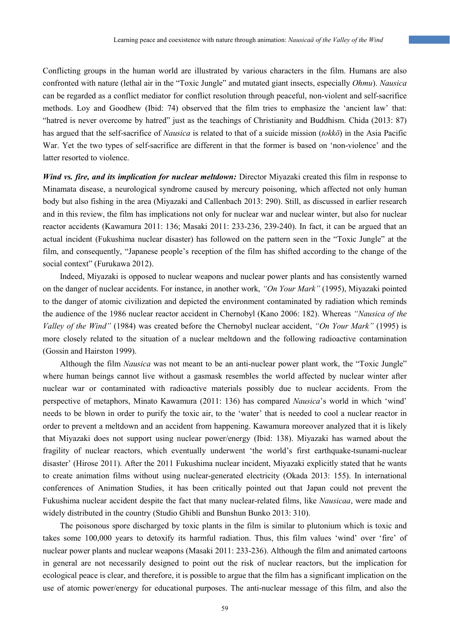Conflicting groups in the human world are illustrated by various characters in the film. Humans are also confronted with nature (lethal air in the "Toxic Jungle" and mutated giant insects, especially *Ohmu*). *Nausica* can be regarded as a conflict mediator for conflict resolution through peaceful, non-violent and self-sacrifice methods. Loy and Goodhew (Ibid: 74) observed that the film tries to emphasize the 'ancient law' that: "hatred is never overcome by hatred" just as the teachings of Christianity and Buddhism. Chida (2013: 87) has argued that the self-sacrifice of *Nausica* is related to that of a suicide mission (*tokkō*) in the Asia Pacific War. Yet the two types of self-sacrifice are different in that the former is based on 'non-violence' and the latter resorted to violence.

*Wind vs. fire, and its implication for nuclear meltdown:* Director Miyazaki created this film in response to Minamata disease, a neurological syndrome caused by mercury poisoning, which affected not only human body but also fishing in the area (Miyazaki and Callenbach 2013: 290). Still, as discussed in earlier research and in this review, the film has implications not only for nuclear war and nuclear winter, but also for nuclear reactor accidents (Kawamura 2011: 136; Masaki 2011: 233-236, 239-240). In fact, it can be argued that an actual incident (Fukushima nuclear disaster) has followed on the pattern seen in the "Toxic Jungle" at the film, and consequently, "Japanese people's reception of the film has shifted according to the change of the social context" (Furukawa 2012).

Indeed, Miyazaki is opposed to nuclear weapons and nuclear power plants and has consistently warned on the danger of nuclear accidents. For instance, in another work, *"On Your Mark"* (1995), Miyazaki pointed to the danger of atomic civilization and depicted the environment contaminated by radiation which reminds the audience of the 1986 nuclear reactor accident in Chernobyl (Kano 2006: 182). Whereas *"Nausica of the Valley of the Wind"* (1984) was created before the Chernobyl nuclear accident, *"On Your Mark"* (1995) is more closely related to the situation of a nuclear meltdown and the following radioactive contamination (Gossin and Hairston 1999).

Although the film *Nausica* was not meant to be an anti-nuclear power plant work, the "Toxic Jungle" where human beings cannot live without a gasmask resembles the world affected by nuclear winter after nuclear war or contaminated with radioactive materials possibly due to nuclear accidents. From the perspective of metaphors, Minato Kawamura (2011: 136) has compared *Nausica*'s world in which 'wind' needs to be blown in order to purify the toxic air, to the 'water' that is needed to cool a nuclear reactor in order to prevent a meltdown and an accident from happening. Kawamura moreover analyzed that it is likely that Miyazaki does not support using nuclear power/energy (Ibid: 138). Miyazaki has warned about the fragility of nuclear reactors, which eventually underwent 'the world's first earthquake-tsunami-nuclear disaster' (Hirose 2011). After the 2011 Fukushima nuclear incident, Miyazaki explicitly stated that he wants to create animation films without using nuclear-generated electricity (Okada 2013: 155). In international conferences of Animation Studies, it has been critically pointed out that Japan could not prevent the Fukushima nuclear accident despite the fact that many nuclear-related films, like *Nausicaa*, were made and widely distributed in the country (Studio Ghibli and Bunshun Bunko 2013: 310).

The poisonous spore discharged by toxic plants in the film is similar to plutonium which is toxic and takes some 100,000 years to detoxify its harmful radiation. Thus, this film values 'wind' over 'fire' of nuclear power plants and nuclear weapons (Masaki 2011: 233-236). Although the film and animated cartoons in general are not necessarily designed to point out the risk of nuclear reactors, but the implication for ecological peace is clear, and therefore, it is possible to argue that the film has a significant implication on the use of atomic power/energy for educational purposes. The anti-nuclear message of this film, and also the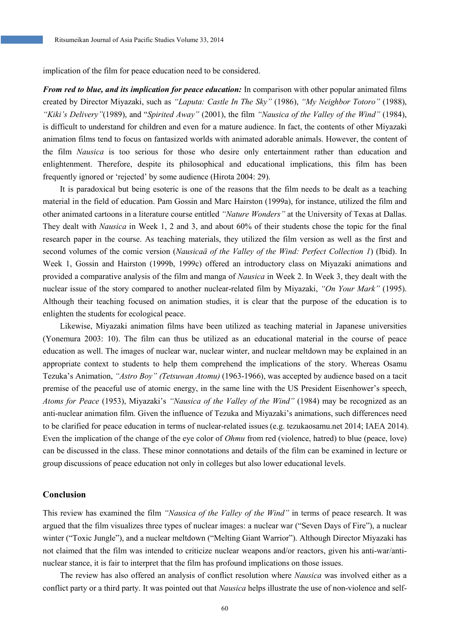implication of the film for peace education need to be considered.

*From red to blue, and its implication for peace education:* In comparison with other popular animated films created by Director Miyazaki, such as *"Laputa: Castle In The Sky"* (1986), *"My Neighbor Totoro"* (1988), *"Kiki's Delivery"*(1989), and "*Spirited Away"* (2001), the film *"Nausica of the Valley of the Wind"* (1984), is difficult to understand for children and even for a mature audience. In fact, the contents of other Miyazaki animation films tend to focus on fantasized worlds with animated adorable animals. However, the content of the film *Nausica* is too serious for those who desire only entertainment rather than education and enlightenment. Therefore, despite its philosophical and educational implications, this film has been frequently ignored or 'rejected' by some audience (Hirota 2004: 29).

It is paradoxical but being esoteric is one of the reasons that the film needs to be dealt as a teaching material in the field of education. Pam Gossin and Marc Hairston (1999a), for instance, utilized the film and other animated cartoons in a literature course entitled *"Nature Wonders"* at the University of Texas at Dallas. They dealt with *Nausica* in Week 1, 2 and 3, and about 60% of their students chose the topic for the final research paper in the course. As teaching materials, they utilized the film version as well as the first and second volumes of the comic version (*Nausicaä of the Valley of the Wind: Perfect Collection 1*) (Ibid). In Week 1, Gossin and Hairston (1999b, 1999c) offered an introductory class on Miyazaki animations and provided a comparative analysis of the film and manga of *Nausica* in Week 2. In Week 3, they dealt with the nuclear issue of the story compared to another nuclear-related film by Miyazaki, *"On Your Mark"* (1995). Although their teaching focused on animation studies, it is clear that the purpose of the education is to enlighten the students for ecological peace.

Likewise, Miyazaki animation films have been utilized as teaching material in Japanese universities (Yonemura 2003: 10). The film can thus be utilized as an educational material in the course of peace education as well. The images of nuclear war, nuclear winter, and nuclear meltdown may be explained in an appropriate context to students to help them comprehend the implications of the story. Whereas Osamu Tezuka's Animation, *"Astro Boy" (Tetsuwan Atomu)* (1963-1966), was accepted by audience based on a tacit premise of the peaceful use of atomic energy, in the same line with the US President Eisenhower's speech, *Atoms for Peace* (1953), Miyazaki's *"Nausica of the Valley of the Wind"* (1984) may be recognized as an anti-nuclear animation film. Given the influence of Tezuka and Miyazaki's animations, such differences need to be clarified for peace education in terms of nuclear-related issues (e.g. tezukaosamu.net 2014; IAEA 2014). Even the implication of the change of the eye color of *Ohmu* from red (violence, hatred) to blue (peace, love) can be discussed in the class. These minor connotations and details of the film can be examined in lecture or group discussions of peace education not only in colleges but also lower educational levels.

# **Conclusion**

This review has examined the film *"Nausica of the Valley of the Wind"* in terms of peace research. It was argued that the film visualizes three types of nuclear images: a nuclear war ("Seven Days of Fire"), a nuclear winter ("Toxic Jungle"), and a nuclear meltdown ("Melting Giant Warrior"). Although Director Miyazaki has not claimed that the film was intended to criticize nuclear weapons and/or reactors, given his anti-war/antinuclear stance, it is fair to interpret that the film has profound implications on those issues.

The review has also offered an analysis of conflict resolution where *Nausica* was involved either as a conflict party or a third party. It was pointed out that *Nausica* helps illustrate the use of non-violence and self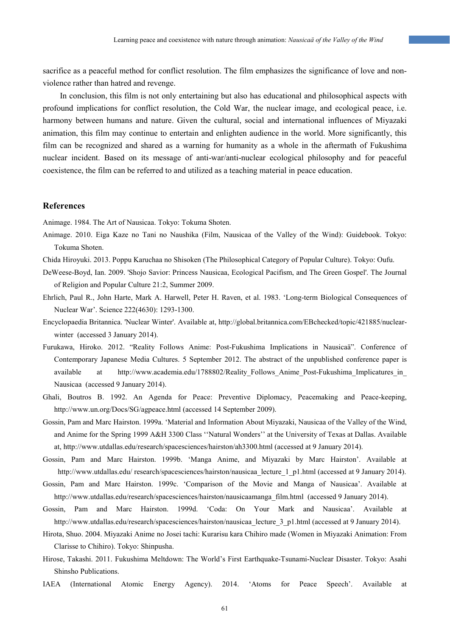sacrifice as a peaceful method for conflict resolution. The film emphasizes the significance of love and nonviolence rather than hatred and revenge.

In conclusion, this film is not only entertaining but also has educational and philosophical aspects with profound implications for conflict resolution, the Cold War, the nuclear image, and ecological peace, i.e. harmony between humans and nature. Given the cultural, social and international influences of Miyazaki animation, this film may continue to entertain and enlighten audience in the world. More significantly, this film can be recognized and shared as a warning for humanity as a whole in the aftermath of Fukushima nuclear incident. Based on its message of anti-war/anti-nuclear ecological philosophy and for peaceful coexistence, the film can be referred to and utilized as a teaching material in peace education.

# **References**

Animage. 1984. The Art of Nausicaa. Tokyo: Tokuma Shoten.

- Animage. 2010. Eiga Kaze no Tani no Naushika (Film, Nausicaa of the Valley of the Wind): Guidebook. Tokyo: Tokuma Shoten.
- Chida Hiroyuki. 2013. Poppu Karuchaa no Shisoken (The Philosophical Category of Popular Culture). Tokyo: Oufu.
- DeWeese-Boyd, Ian. 2009. 'Shojo Savior: Princess Nausicaa, Ecological Pacifism, and The Green Gospel'. The Journal of Religion and Popular Culture 21:2, Summer 2009.
- Ehrlich, Paul R., John Harte, Mark A. Harwell, Peter H. Raven, et al. 1983. 'Long-term Biological Consequences of Nuclear War'. Science 222(4630): 1293-1300.
- Encyclopaedia Britannica. 'Nuclear Winter'. Available at, http://global.britannica.com/EBchecked/topic/421885/nuclearwinter (accessed 3 January 2014).
- Furukawa, Hiroko. 2012. "Reality Follows Anime: Post-Fukushima Implications in Nausicaä". Conference of Contemporary Japanese Media Cultures. 5 September 2012. The abstract of the unpublished conference paper is available at http://www.academia.edu/1788802/Reality\_Follows\_Anime\_Post-Fukushima\_Implicatures\_in\_ Nausicaa (accessed 9 January 2014).
- Ghali, Boutros B. 1992. An Agenda for Peace: Preventive Diplomacy, Peacemaking and Peace-keeping, http://www.un.org/Docs/SG/agpeace.html (accessed 14 September 2009).
- Gossin, Pam and Marc Hairston. 1999a. 'Material and Information About Miyazaki, Nausicaa of the Valley of the Wind, and Anime for the Spring 1999 A&H 3300 Class ''Natural Wonders'' at the University of Texas at Dallas. Available at, http://www.utdallas.edu/research/spacesciences/hairston/ah3300.html (accessed at 9 January 2014).
- Gossin, Pam and Marc Hairston. 1999b. 'Manga Anime, and Miyazaki by Marc Hairston'. Available at http://www.utdallas.edu/ research/spacesciences/hairston/nausicaa\_lecture\_1\_p1.html (accessed at 9 January 2014).
- Gossin, Pam and Marc Hairston. 1999c. 'Comparison of the Movie and Manga of Nausicaa'. Available at http://www.utdallas.edu/research/spacesciences/hairston/nausicaamanga\_film.html (accessed 9 January 2014).
- Gossin, Pam and Marc Hairston. 1999d. 'Coda: On Your Mark and Nausicaa'. Available at http://www.utdallas.edu/research/spacesciences/hairston/nausicaa\_lecture\_3\_p1.html (accessed at 9 January 2014).
- Hirota, Shuo. 2004. Miyazaki Anime no Josei tachi: Kurarisu kara Chihiro made (Women in Miyazaki Animation: From Clarisse to Chihiro). Tokyo: Shinpusha.
- Hirose, Takashi. 2011. Fukushima Meltdown: The World's First Earthquake-Tsunami-Nuclear Disaster. Tokyo: Asahi Shinsho Publications.
- IAEA (International Atomic Energy Agency). 2014. 'Atoms for Peace Speech'. Available at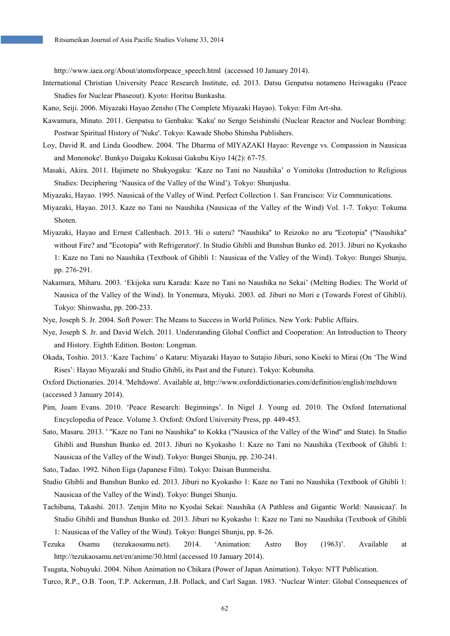http://www.iaea.org/About/atomsforpeace\_speech.html (accessed 10 January 2014).

- International Christian University Peace Research Institute, ed. 2013. Datsu Genpatsu notameno Heiwagaku (Peace Studies for Nuclear Phaseout). Kyoto: Horitsu Bunkasha.
- Kano, Seiji. 2006. Miyazaki Hayao Zensho (The Complete Miyazaki Hayao). Tokyo: Film Art-sha.
- Kawamura, Minato. 2011. Genpatsu to Genbaku: 'Kaku' no Sengo Seishinshi (Nuclear Reactor and Nuclear Bombing: Postwar Spiritual History of 'Nuke'. Tokyo: Kawade Shobo Shinsha Publishers.
- Loy, David R. and Linda Goodhew. 2004. 'The Dharma of MIYAZAKI Hayao: Revenge vs. Compassion in Nausicaa and Mononoke'. Bunkyo Daigaku Kokusai Gakubu Kiyo 14(2): 67-75.
- Masaki, Akira. 2011. Hajimete no Shukyogaku: 'Kaze no Tani no Naushika' o Yomitoku (Introduction to Religious Studies: Deciphering 'Nausica of the Valley of the Wind'). Tokyo: Shunjusha.
- Miyazaki, Hayao. 1995. Nausicaä of the Valley of Wind. Perfect Collection 1. San Francisco: Viz Communications.
- Miyazaki, Hayao. 2013. Kaze no Tani no Naushika (Nausicaa of the Valley of the Wind) Vol. 1-7. Tokyo: Tokuma Shoten.
- Miyazaki, Hayao and Ernest Callenbach. 2013. 'Hi o suteru? ''Naushika'' to Reizoko no aru ''Ecotopia'' (''Naushika'' without Fire? and "Ecotopia" with Refrigerator)'. In Studio Ghibli and Bunshun Bunko ed. 2013. Jiburi no Kyokasho 1: Kaze no Tani no Naushika (Textbook of Ghibli 1: Nausicaa of the Valley of the Wind). Tokyo: Bungei Shunju, pp. 276-291.
- Nakamura, Miharu. 2003. 'Ekijoka suru Karada: Kaze no Tani no Naushika no Sekai' (Melting Bodies: The World of Nausica of the Valley of the Wind). In Yonemura, Miyuki. 2003. ed. Jiburi no Mori e (Towards Forest of Ghibli). Tokyo: Shinwasha, pp. 200-233.
- Nye, Joseph S. Jr. 2004. Soft Power: The Means to Success in World Politics. New York: Public Affairs.
- Nye, Joseph S. Jr. and David Welch. 2011. Understanding Global Conflict and Cooperation: An Introduction to Theory and History. Eighth Edition. Boston: Longman.
- Okada, Toshio. 2013. 'Kaze Tachinu' o Kataru: Miyazaki Hayao to Sutajio Jiburi, sono Kiseki to Mirai (On 'The Wind Rises': Hayao Miyazaki and Studio Ghibli, its Past and the Future). Tokyo: Kobunsha.
- Oxford Dictionaries. 2014. 'Meltdown'. Available at, http://www.oxforddictionaries.com/definition/english/meltdown (accessed 3 January 2014).
- Pim, Joam Evans. 2010. 'Peace Research: Beginnings'. In Nigel J. Young ed. 2010. The Oxford International Encyclopedia of Peace. Volume 3. Oxford: Oxford University Press, pp. 449-453.
- Sato, Masaru. 2013. ' ''Kaze no Tani no Naushika'' to Kokka (''Nausica of the Valley of the Wind'' and State). In Studio Ghibli and Bunshun Bunko ed. 2013. Jiburi no Kyokasho 1: Kaze no Tani no Naushika (Textbook of Ghibli 1: Nausicaa of the Valley of the Wind). Tokyo: Bungei Shunju, pp. 230-241.
- Sato, Tadao. 1992. Nihon Eiga (Japanese Film). Tokyo: Daisan Bunmeisha.
- Studio Ghibli and Bunshun Bunko ed. 2013. Jiburi no Kyokasho 1: Kaze no Tani no Naushika (Textbook of Ghibli 1: Nausicaa of the Valley of the Wind). Tokyo: Bungei Shunju.
- Tachibana, Takashi. 2013. 'Zenjin Mito no Kyodai Sekai: Naushika (A Pathless and Gigantic World: Nausicaa)'. In Studio Ghibli and Bunshun Bunko ed. 2013. Jiburi no Kyokasho 1: Kaze no Tani no Naushika (Textbook of Ghibli 1: Nausicaa of the Valley of the Wind). Tokyo: Bungei Shunju, pp. 8-26.
- Tezuka Osamu (tezukaosamu.net). 2014. 'Animation: Astro Boy (1963)'. Available at http://tezukaosamu.net/en/anime/30.html (accessed 10 January 2014).
- Tsugata, Nobuyuki. 2004. Nihon Animation no Chikara (Power of Japan Animation). Tokyo: NTT Publication.

Turco, R.P., O.B. Toon, T.P. Ackerman, J.B. Pollack, and Carl Sagan. 1983. 'Nuclear Winter: Global Consequences of